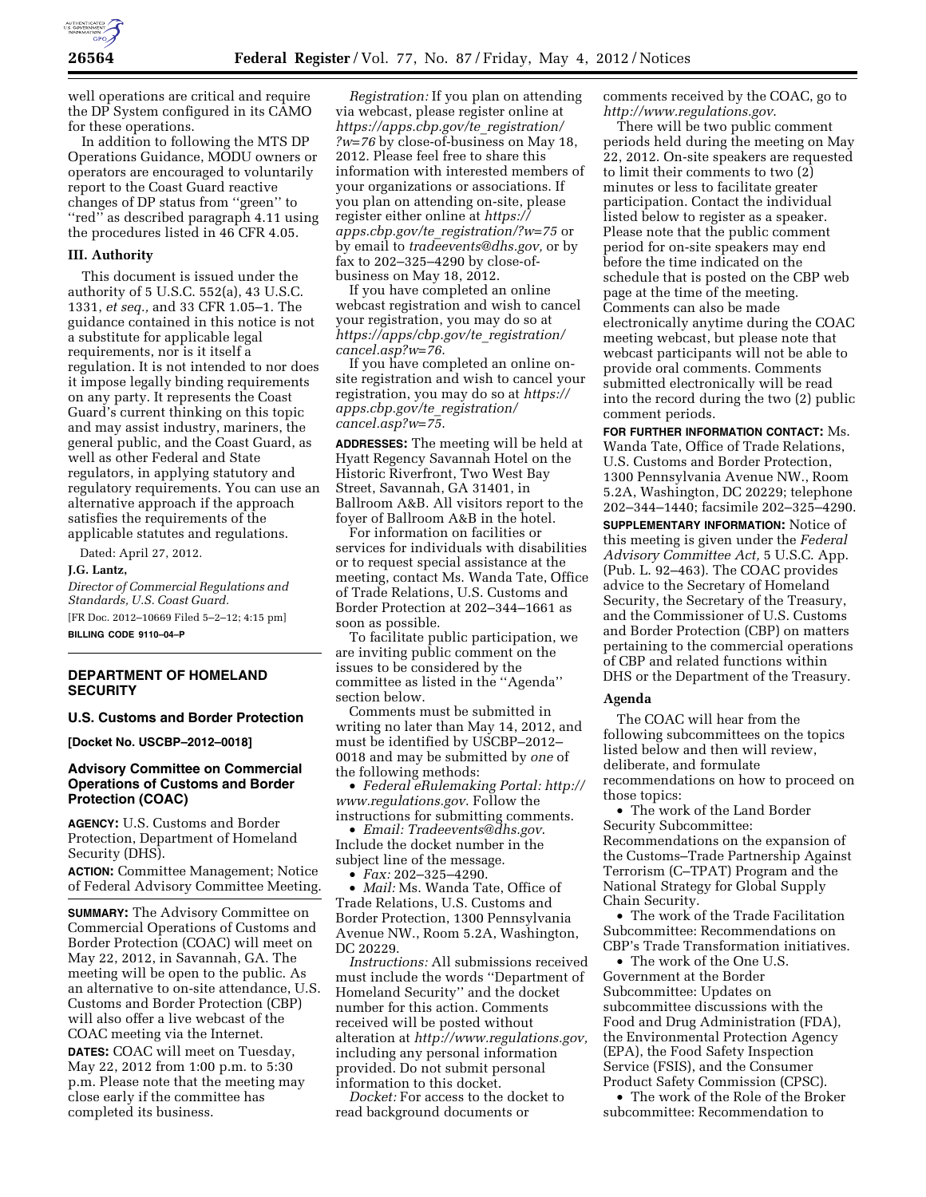

well operations are critical and require the DP System configured in its CAMO for these operations.

In addition to following the MTS DP Operations Guidance, MODU owners or operators are encouraged to voluntarily report to the Coast Guard reactive changes of DP status from ''green'' to ''red'' as described paragraph 4.11 using the procedures listed in 46 CFR 4.05.

#### **III. Authority**

This document is issued under the authority of 5 U.S.C. 552(a), 43 U.S.C. 1331, *et seq.,* and 33 CFR 1.05–1. The guidance contained in this notice is not a substitute for applicable legal requirements, nor is it itself a regulation. It is not intended to nor does it impose legally binding requirements on any party. It represents the Coast Guard's current thinking on this topic and may assist industry, mariners, the general public, and the Coast Guard, as well as other Federal and State regulators, in applying statutory and regulatory requirements. You can use an alternative approach if the approach satisfies the requirements of the applicable statutes and regulations.

Dated: April 27, 2012.

#### **J.G. Lantz,**

*Director of Commercial Regulations and Standards, U.S. Coast Guard.*  [FR Doc. 2012–10669 Filed 5–2–12; 4:15 pm]

**BILLING CODE 9110–04–P** 

## **DEPARTMENT OF HOMELAND SECURITY**

#### **U.S. Customs and Border Protection**

**[Docket No. USCBP–2012–0018]** 

# **Advisory Committee on Commercial Operations of Customs and Border Protection (COAC)**

**AGENCY:** U.S. Customs and Border Protection, Department of Homeland Security (DHS).

**ACTION:** Committee Management; Notice of Federal Advisory Committee Meeting.

**SUMMARY:** The Advisory Committee on Commercial Operations of Customs and Border Protection (COAC) will meet on May 22, 2012, in Savannah, GA. The meeting will be open to the public. As an alternative to on-site attendance, U.S. Customs and Border Protection (CBP) will also offer a live webcast of the COAC meeting via the Internet.

**DATES:** COAC will meet on Tuesday, May 22, 2012 from 1:00 p.m. to 5:30 p.m. Please note that the meeting may close early if the committee has completed its business.

*Registration:* If you plan on attending via webcast, please register online at *[https://apps.cbp.gov/te](https://apps.cbp.gov/te_registration/?w=76)*\_*registration/ [?w=76](https://apps.cbp.gov/te_registration/?w=76)* by close-of-business on May 18, 2012. Please feel free to share this information with interested members of your organizations or associations. If you plan on attending on-site, please register either online at *[https://](https://apps.cbp.gov/te_registration/?w=75)  apps.cbp.gov/te*\_*[registration/?w=75](https://apps.cbp.gov/te_registration/?w=75)* or by email to *[tradeevents@dhs.gov,](mailto:tradeevents@dhs.gov)* or by fax to 202–325–4290 by close-ofbusiness on May 18, 2012.

If you have completed an online webcast registration and wish to cancel your registration, you may do so at *[https://apps/cbp.gov/te](https://apps/cbp.gov/te_registration/cancel.asp?w=76)*\_*registration/ [cancel.asp?w=76](https://apps/cbp.gov/te_registration/cancel.asp?w=76)*.

If you have completed an online onsite registration and wish to cancel your registration, you may do so at *[https://](https://apps.cbp.gov/te_registration/cancel.asp?w=75)  [apps.cbp.gov/te](https://apps.cbp.gov/te_registration/cancel.asp?w=75)*\_*registration/ [cancel.asp?w=75](https://apps.cbp.gov/te_registration/cancel.asp?w=75)*.

**ADDRESSES:** The meeting will be held at Hyatt Regency Savannah Hotel on the Historic Riverfront, Two West Bay Street, Savannah, GA 31401, in Ballroom A&B. All visitors report to the foyer of Ballroom A&B in the hotel.

For information on facilities or services for individuals with disabilities or to request special assistance at the meeting, contact Ms. Wanda Tate, Office of Trade Relations, U.S. Customs and Border Protection at 202–344–1661 as soon as possible.

To facilitate public participation, we are inviting public comment on the issues to be considered by the committee as listed in the ''Agenda'' section below.

Comments must be submitted in writing no later than May 14, 2012, and must be identified by USCBP–2012– 0018 and may be submitted by *one* of the following methods:

• *Federal eRulemaking Portal: [http://](http://www.regulations.gov)  [www.regulations.gov](http://www.regulations.gov)*. Follow the instructions for submitting comments.

• *Email: [Tradeevents@dhs.gov](mailto:Tradeevents@dhs.gov)*. Include the docket number in the subject line of the message. • *Fax:* 202–325–4290.

• *Mail:* Ms. Wanda Tate, Office of Trade Relations, U.S. Customs and Border Protection, 1300 Pennsylvania Avenue NW., Room 5.2A, Washington, DC 20229.

*Instructions:* All submissions received must include the words ''Department of Homeland Security'' and the docket number for this action. Comments received will be posted without alteration at *[http://www.regulations.gov,](http://www.regulations.gov)*  including any personal information provided. Do not submit personal information to this docket.

*Docket:* For access to the docket to read background documents or

comments received by the COAC, go to *<http://www.regulations.gov>*.

There will be two public comment periods held during the meeting on May 22, 2012. On-site speakers are requested to limit their comments to two (2) minutes or less to facilitate greater participation. Contact the individual listed below to register as a speaker. Please note that the public comment period for on-site speakers may end before the time indicated on the schedule that is posted on the CBP web page at the time of the meeting. Comments can also be made electronically anytime during the COAC meeting webcast, but please note that webcast participants will not be able to provide oral comments. Comments submitted electronically will be read into the record during the two (2) public comment periods.

**FOR FURTHER INFORMATION CONTACT:** Ms. Wanda Tate, Office of Trade Relations, U.S. Customs and Border Protection, 1300 Pennsylvania Avenue NW., Room 5.2A, Washington, DC 20229; telephone 202–344–1440; facsimile 202–325–4290.

**SUPPLEMENTARY INFORMATION:** Notice of this meeting is given under the *Federal Advisory Committee Act,* 5 U.S.C. App. (Pub. L. 92–463). The COAC provides advice to the Secretary of Homeland Security, the Secretary of the Treasury, and the Commissioner of U.S. Customs and Border Protection (CBP) on matters pertaining to the commercial operations of CBP and related functions within DHS or the Department of the Treasury.

#### **Agenda**

The COAC will hear from the following subcommittees on the topics listed below and then will review, deliberate, and formulate recommendations on how to proceed on those topics:

• The work of the Land Border Security Subcommittee: Recommendations on the expansion of the Customs–Trade Partnership Against Terrorism (C–TPAT) Program and the National Strategy for Global Supply Chain Security.

• The work of the Trade Facilitation Subcommittee: Recommendations on CBP's Trade Transformation initiatives.

• The work of the One U.S. Government at the Border Subcommittee: Updates on subcommittee discussions with the Food and Drug Administration (FDA), the Environmental Protection Agency (EPA), the Food Safety Inspection Service (FSIS), and the Consumer Product Safety Commission (CPSC).

• The work of the Role of the Broker subcommittee: Recommendation to